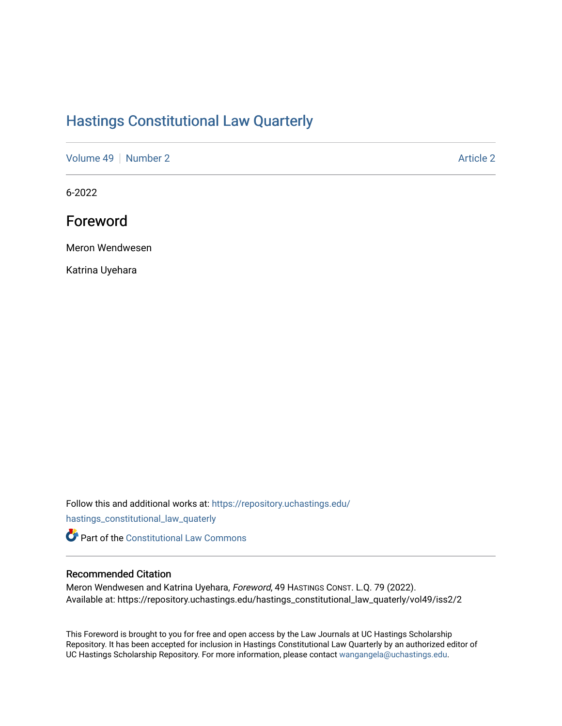## [Hastings Constitutional Law Quarterly](https://repository.uchastings.edu/hastings_constitutional_law_quaterly)

[Volume 49](https://repository.uchastings.edu/hastings_constitutional_law_quaterly/vol49) [Number 2](https://repository.uchastings.edu/hastings_constitutional_law_quaterly/vol49/iss2) Article 2

6-2022

Foreword

Meron Wendwesen

Katrina Uyehara

Follow this and additional works at: [https://repository.uchastings.edu/](https://repository.uchastings.edu/hastings_constitutional_law_quaterly?utm_source=repository.uchastings.edu%2Fhastings_constitutional_law_quaterly%2Fvol49%2Fiss2%2F2&utm_medium=PDF&utm_campaign=PDFCoverPages)

[hastings\\_constitutional\\_law\\_quaterly](https://repository.uchastings.edu/hastings_constitutional_law_quaterly?utm_source=repository.uchastings.edu%2Fhastings_constitutional_law_quaterly%2Fvol49%2Fiss2%2F2&utm_medium=PDF&utm_campaign=PDFCoverPages) 

**Part of the Constitutional Law Commons** 

## Recommended Citation

Meron Wendwesen and Katrina Uyehara, Foreword, 49 HASTINGS CONST. L.Q. 79 (2022). Available at: https://repository.uchastings.edu/hastings\_constitutional\_law\_quaterly/vol49/iss2/2

This Foreword is brought to you for free and open access by the Law Journals at UC Hastings Scholarship Repository. It has been accepted for inclusion in Hastings Constitutional Law Quarterly by an authorized editor of UC Hastings Scholarship Repository. For more information, please contact [wangangela@uchastings.edu](mailto:wangangela@uchastings.edu).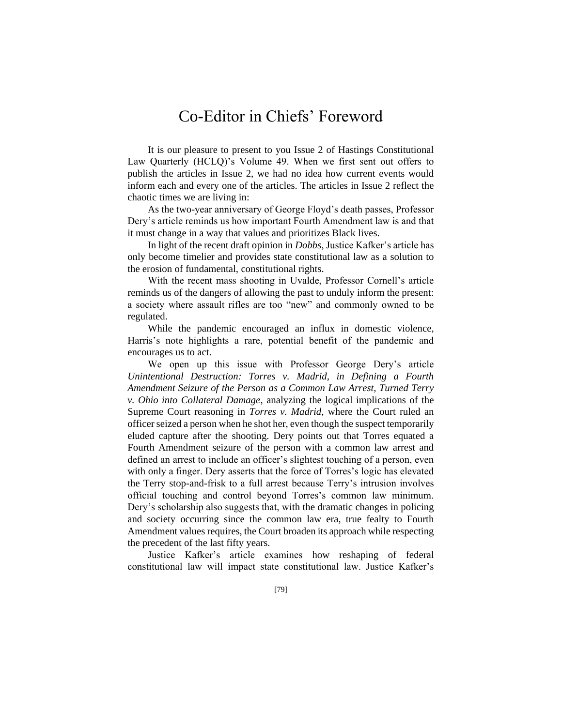## Co-Editor in Chiefs' Foreword

It is our pleasure to present to you Issue 2 of Hastings Constitutional Law Quarterly (HCLQ)'s Volume 49. When we first sent out offers to publish the articles in Issue 2, we had no idea how current events would inform each and every one of the articles. The articles in Issue 2 reflect the chaotic times we are living in:

As the two-year anniversary of George Floyd's death passes, Professor Dery's article reminds us how important Fourth Amendment law is and that it must change in a way that values and prioritizes Black lives.

In light of the recent draft opinion in *Dobbs*, Justice Kafker's article has only become timelier and provides state constitutional law as a solution to the erosion of fundamental, constitutional rights.

With the recent mass shooting in Uvalde, Professor Cornell's article reminds us of the dangers of allowing the past to unduly inform the present: a society where assault rifles are too "new" and commonly owned to be regulated.

While the pandemic encouraged an influx in domestic violence, Harris's note highlights a rare, potential benefit of the pandemic and encourages us to act.

We open up this issue with Professor George Dery's article *Unintentional Destruction: Torres v. Madrid, in Defining a Fourth Amendment Seizure of the Person as a Common Law Arrest, Turned Terry v. Ohio into Collateral Damage*, analyzing the logical implications of the Supreme Court reasoning in *Torres v. Madrid*, where the Court ruled an officer seized a person when he shot her, even though the suspect temporarily eluded capture after the shooting. Dery points out that Torres equated a Fourth Amendment seizure of the person with a common law arrest and defined an arrest to include an officer's slightest touching of a person, even with only a finger. Dery asserts that the force of Torres's logic has elevated the Terry stop-and-frisk to a full arrest because Terry's intrusion involves official touching and control beyond Torres's common law minimum. Dery's scholarship also suggests that, with the dramatic changes in policing and society occurring since the common law era, true fealty to Fourth Amendment values requires, the Court broaden its approach while respecting the precedent of the last fifty years.

Justice Kafker's article examines how reshaping of federal constitutional law will impact state constitutional law. Justice Kafker's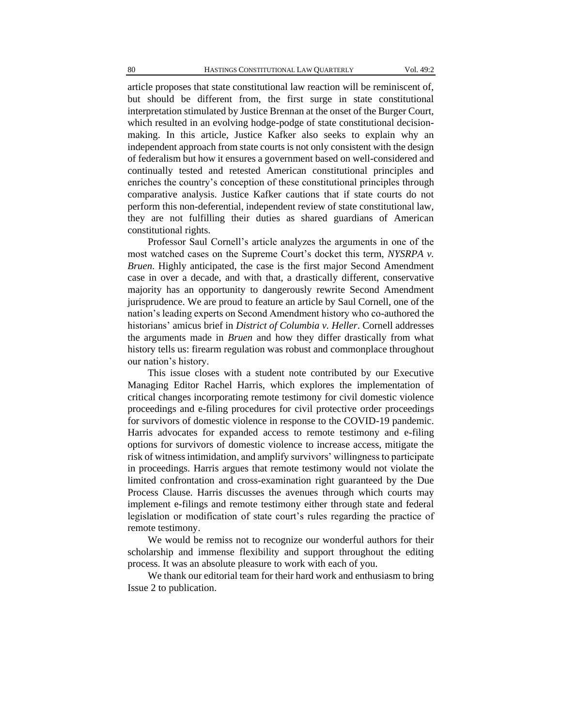article proposes that state constitutional law reaction will be reminiscent of, but should be different from, the first surge in state constitutional interpretation stimulated by Justice Brennan at the onset of the Burger Court, which resulted in an evolving hodge-podge of state constitutional decisionmaking. In this article, Justice Kafker also seeks to explain why an independent approach from state courts is not only consistent with the design of federalism but how it ensures a government based on well-considered and continually tested and retested American constitutional principles and enriches the country's conception of these constitutional principles through comparative analysis. Justice Kafker cautions that if state courts do not perform this non-deferential, independent review of state constitutional law, they are not fulfilling their duties as shared guardians of American constitutional rights.

Professor Saul Cornell's article analyzes the arguments in one of the most watched cases on the Supreme Court's docket this term, *NYSRPA v. Bruen*. Highly anticipated, the case is the first major Second Amendment case in over a decade, and with that, a drastically different, conservative majority has an opportunity to dangerously rewrite Second Amendment jurisprudence. We are proud to feature an article by Saul Cornell, one of the nation's leading experts on Second Amendment history who co-authored the historians' amicus brief in *District of Columbia v. Heller*. Cornell addresses the arguments made in *Bruen* and how they differ drastically from what history tells us: firearm regulation was robust and commonplace throughout our nation's history.

This issue closes with a student note contributed by our Executive Managing Editor Rachel Harris, which explores the implementation of critical changes incorporating remote testimony for civil domestic violence proceedings and e-filing procedures for civil protective order proceedings for survivors of domestic violence in response to the COVID-19 pandemic. Harris advocates for expanded access to remote testimony and e-filing options for survivors of domestic violence to increase access, mitigate the risk of witness intimidation, and amplify survivors' willingness to participate in proceedings. Harris argues that remote testimony would not violate the limited confrontation and cross-examination right guaranteed by the Due Process Clause. Harris discusses the avenues through which courts may implement e-filings and remote testimony either through state and federal legislation or modification of state court's rules regarding the practice of remote testimony.

We would be remiss not to recognize our wonderful authors for their scholarship and immense flexibility and support throughout the editing process. It was an absolute pleasure to work with each of you.

We thank our editorial team for their hard work and enthusiasm to bring Issue 2 to publication.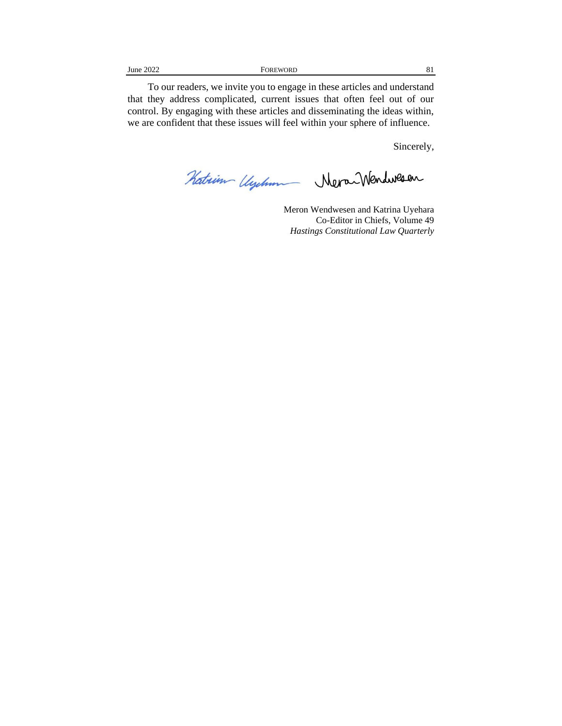To our readers, we invite you to engage in these articles and understand that they address complicated, current issues that often feel out of our control. By engaging with these articles and disseminating the ideas within, we are confident that these issues will feel within your sphere of influence.

Sincerely,

Katrim Uyelum Neva Wendwesen

Meron Wendwesen and Katrina Uyehara Co-Editor in Chiefs, Volume 49 *Hastings Constitutional Law Quarterly*